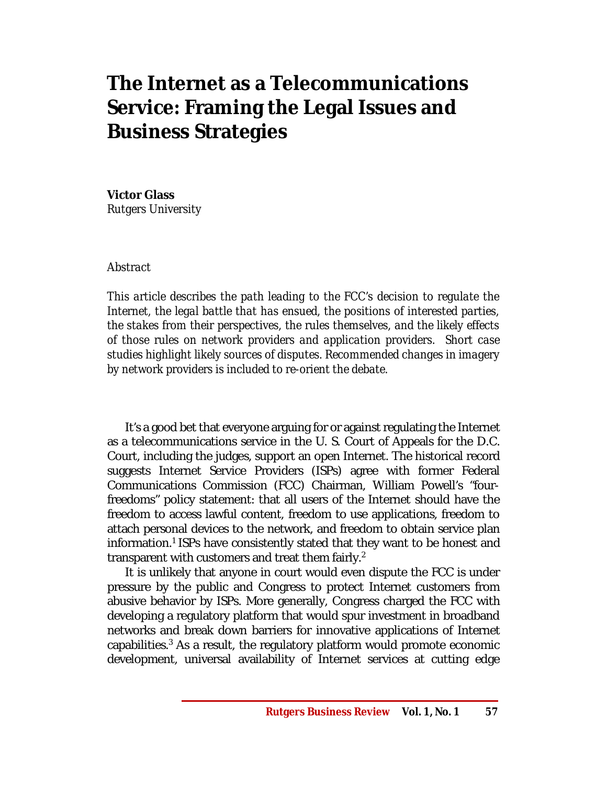# **The Internet as a Telecommunications Service: Framing the Legal Issues and Business Strategies**

# **Victor Glass**

*Rutgers University*

# *Abstract*

*This article describes the path leading to the FCC's decision to regulate the Internet, the legal battle that has ensued, the positions of interested parties, the stakes from their perspectives, the rules themselves, and the likely effects of those rules on network providers and application providers. Short case studies highlight likely sources of disputes. Recommended changes in imagery by network providers is included to re-orient the debate.* 

It's a good bet that everyone arguing for or against regulating the Internet as a telecommunications service in the U. S. Court of Appeals for the D.C. Court, including the judges, support an open Internet. The historical record suggests Internet Service Providers (ISPs) agree with former Federal Communications Commission (FCC) Chairman, William Powell's "fourfreedoms" policy statement: that all users of the Internet should have the freedom to access lawful content, freedom to use applications, freedom to attach personal devices to the network, and freedom to obtain service plan information.<sup>1</sup> ISPs have consistently stated that they want to be honest and transparent with customers and treat them fairly.<sup>2</sup>

It is unlikely that anyone in court would even dispute the FCC is under pressure by the public and Congress to protect Internet customers from abusive behavior by ISPs. More generally, Congress charged the FCC with developing a regulatory platform that would spur investment in broadband networks and break down barriers for innovative applications of Internet capabilities. <sup>3</sup> As a result, the regulatory platform would promote economic development, universal availability of Internet services at cutting edge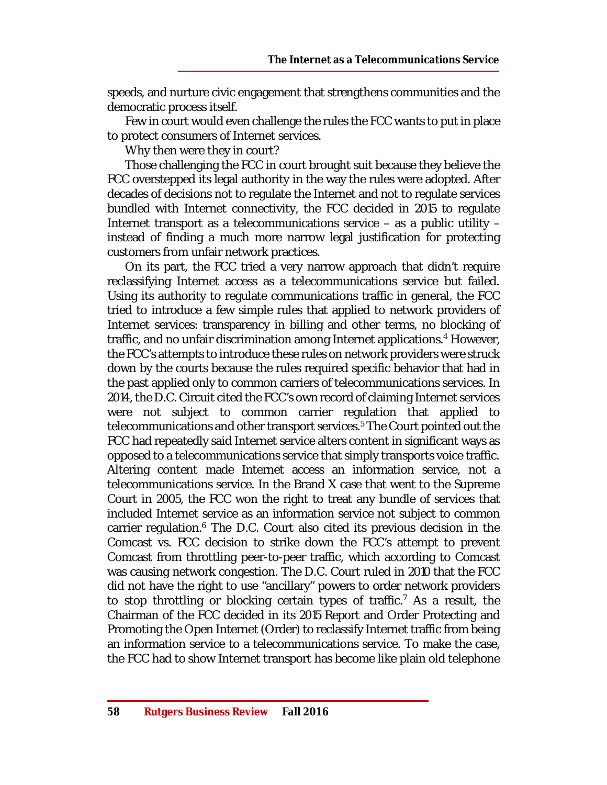speeds, and nurture civic engagement that strengthens communities and the democratic process itself.

Few in court would even challenge the rules the FCC wants to put in place to protect consumers of Internet services.

Why then were they in court?

Those challenging the FCC in court brought suit because they believe the FCC overstepped its legal authority in the way the rules were adopted. After decades of decisions not to regulate the Internet and not to regulate services bundled with Internet connectivity, the FCC decided in 2015 to regulate Internet transport as a telecommunications service – as a public utility – instead of finding a much more narrow legal justification for protecting customers from unfair network practices.

On its part, the FCC tried a very narrow approach that didn't require reclassifying Internet access as a telecommunications service but failed. Using its authority to regulate communications traffic in general, the FCC tried to introduce a few simple rules that applied to network providers of Internet services: transparency in billing and other terms, no blocking of traffic, and no unfair discrimination among Internet applications. <sup>4</sup> However, the FCC's attempts to introduce these rules on network providers were struck down by the courts because the rules required specific behavior that had in the past applied only to common carriers of telecommunications services. In 2014, the D.C. Circuit cited the FCC's own record of claiming Internet services were not subject to common carrier regulation that applied to telecommunications and other transport services. <sup>5</sup> The Court pointed out the FCC had repeatedly said Internet service alters content in significant ways as opposed to a telecommunications service that simply transports voice traffic. Altering content made Internet access an information service, not a telecommunications service. In the Brand X case that went to the Supreme Court in 2005, the FCC won the right to treat any bundle of services that included Internet service as an information service not subject to common carrier regulation.<sup>6</sup> The D.C. Court also cited its previous decision in the Comcast vs. FCC decision to strike down the FCC's attempt to prevent Comcast from throttling peer-to-peer traffic, which according to Comcast was causing network congestion. The D.C. Court ruled in 2010 that the FCC did not have the right to use "ancillary" powers to order network providers to stop throttling or blocking certain types of traffic. <sup>7</sup> As a result, the Chairman of the FCC decided in its 2015 Report and Order Protecting and Promoting the Open Internet (Order) to reclassify Internet traffic from being an information service to a telecommunications service. To make the case, the FCC had to show Internet transport has become like plain old telephone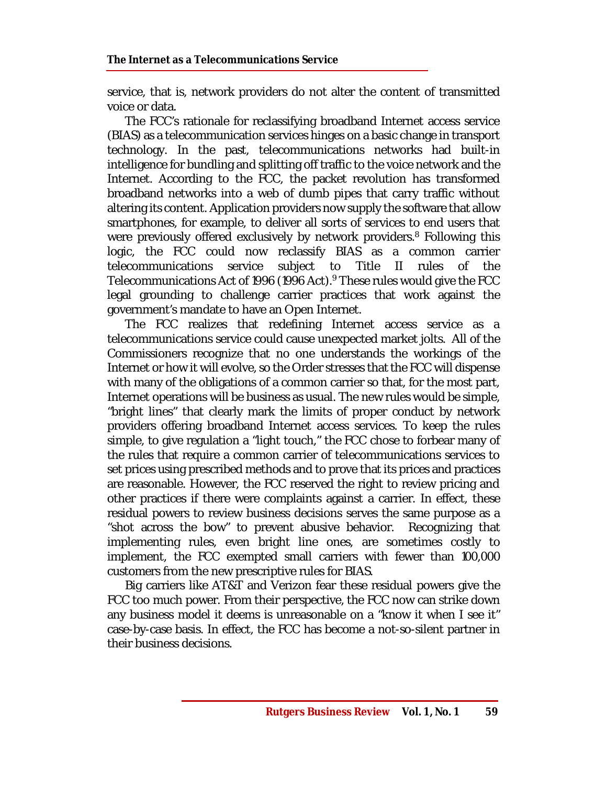service, that is, network providers do not alter the content of transmitted voice or data.

The FCC's rationale for reclassifying broadband Internet access service (BIAS) as a telecommunication services hinges on a basic change in transport technology. In the past, telecommunications networks had built-in intelligence for bundling and splitting off traffic to the voice network and the Internet. According to the FCC, the packet revolution has transformed broadband networks into a web of dumb pipes that carry traffic without altering its content. Application providers now supply the software that allow smartphones, for example, to deliver all sorts of services to end users that were previously offered exclusively by network providers. <sup>8</sup> Following this logic, the FCC could now reclassify BIAS as a common carrier telecommunications service subject to Title II rules of the Telecommunications Act of 1996 (1996 Act). <sup>9</sup> These rules would give the FCC legal grounding to challenge carrier practices that work against the government's mandate to have an Open Internet.

The FCC realizes that redefining Internet access service as a telecommunications service could cause unexpected market jolts. All of the Commissioners recognize that no one understands the workings of the Internet or how it will evolve, so the Order stresses that the FCC will dispense with many of the obligations of a common carrier so that, for the most part, Internet operations will be business as usual. The new rules would be simple, "bright lines" that clearly mark the limits of proper conduct by network providers offering broadband Internet access services. To keep the rules simple, to give regulation a "light touch," the FCC chose to forbear many of the rules that require a common carrier of telecommunications services to set prices using prescribed methods and to prove that its prices and practices are reasonable. However, the FCC reserved the right to review pricing and other practices if there were complaints against a carrier. In effect, these residual powers to review business decisions serves the same purpose as a "shot across the bow" to prevent abusive behavior. Recognizing that implementing rules, even bright line ones, are sometimes costly to implement, the FCC exempted small carriers with fewer than 100,000 customers from the new prescriptive rules for BIAS.

Big carriers like AT&T and Verizon fear these residual powers give the FCC too much power. From their perspective, the FCC now can strike down any business model it deems is unreasonable on a "know it when I see it" case-by-case basis. In effect, the FCC has become a not-so-silent partner in their business decisions.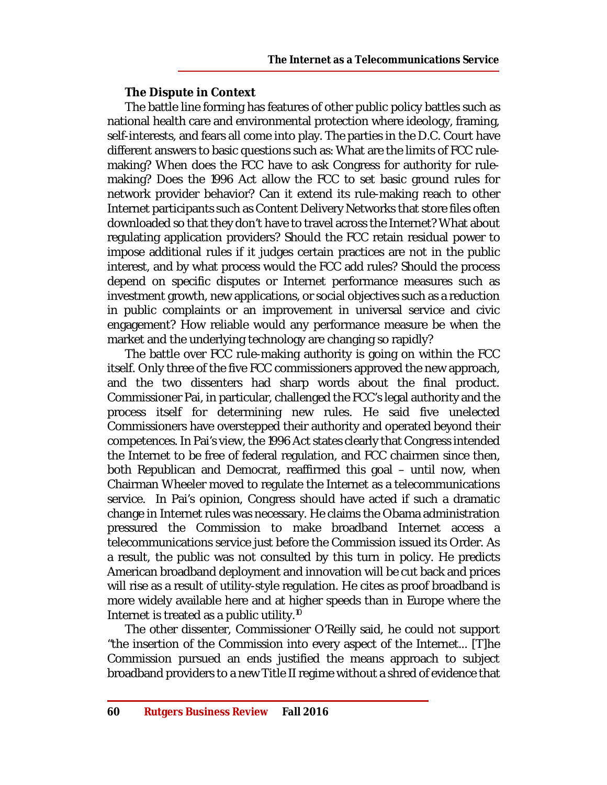# **The Dispute in Context**

The battle line forming has features of other public policy battles such as national health care and environmental protection where ideology, framing, self-interests, and fears all come into play. The parties in the D.C. Court have different answers to basic questions such as: What are the limits of FCC rulemaking? When does the FCC have to ask Congress for authority for rulemaking? Does the 1996 Act allow the FCC to set basic ground rules for network provider behavior? Can it extend its rule-making reach to other Internet participants such as Content Delivery Networks that store files often downloaded so that they don't have to travel across the Internet? What about regulating application providers? Should the FCC retain residual power to impose additional rules if it judges certain practices are not in the public interest, and by what process would the FCC add rules? Should the process depend on specific disputes or Internet performance measures such as investment growth, new applications, or social objectives such as a reduction in public complaints or an improvement in universal service and civic engagement? How reliable would any performance measure be when the market and the underlying technology are changing so rapidly?

The battle over FCC rule-making authority is going on within the FCC itself. Only three of the five FCC commissioners approved the new approach, and the two dissenters had sharp words about the final product. Commissioner Pai, in particular, challenged the FCC's legal authority and the process itself for determining new rules. He said five unelected Commissioners have overstepped their authority and operated beyond their competences. In Pai's view, the 1996 Act states clearly that Congress intended the Internet to be free of federal regulation, and FCC chairmen since then, both Republican and Democrat, reaffirmed this goal – until now, when Chairman Wheeler moved to regulate the Internet as a telecommunications service. In Pai's opinion, Congress should have acted if such a dramatic change in Internet rules was necessary. He claims the Obama administration pressured the Commission to make broadband Internet access a telecommunications service just before the Commission issued its Order. As a result, the public was not consulted by this turn in policy. He predicts American broadband deployment and innovation will be cut back and prices will rise as a result of utility-style regulation. He cites as proof broadband is more widely available here and at higher speeds than in Europe where the Internet is treated as a public utility.<sup>10</sup>

The other dissenter, Commissioner O'Reilly said, he could not support "the insertion of the Commission into every aspect of the Internet... [T]he Commission pursued an ends justified the means approach to subject broadband providers to a new Title II regime without a shred of evidence that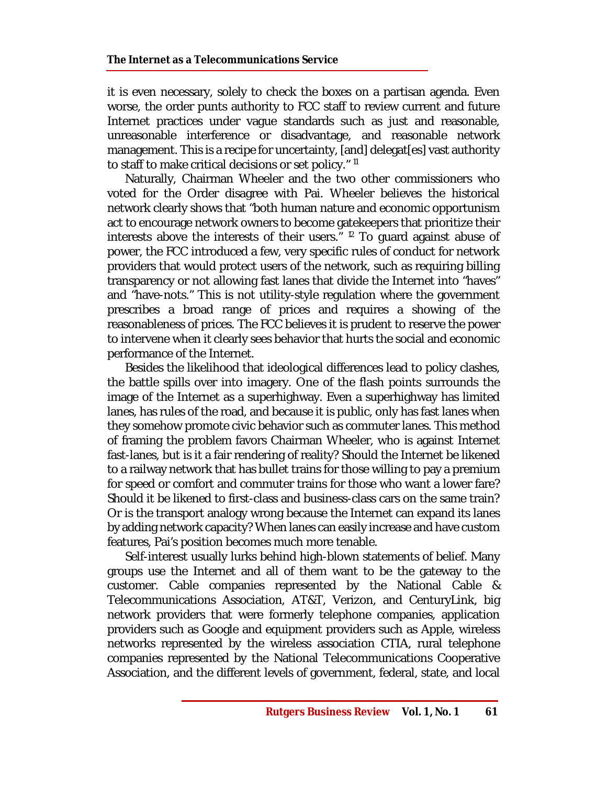it is even necessary, solely to check the boxes on a partisan agenda. Even worse, the order punts authority to FCC staff to review current and future Internet practices under vague standards such as just and reasonable, unreasonable interference or disadvantage, and reasonable network management. This is a recipe for uncertainty, [and] delegat[es] vast authority to staff to make critical decisions or set policy." <sup>11</sup>

Naturally, Chairman Wheeler and the two other commissioners who voted for the Order disagree with Pai. Wheeler believes the historical network clearly shows that "both human nature and economic opportunism act to encourage network owners to become gatekeepers that prioritize their interests above the interests of their users." <sup>12</sup> To guard against abuse of power, the FCC introduced a few, very specific rules of conduct for network providers that would protect users of the network, such as requiring billing transparency or not allowing fast lanes that divide the Internet into "haves" and "have-nots." This is not utility-style regulation where the government prescribes a broad range of prices and requires a showing of the reasonableness of prices. The FCC believes it is prudent to reserve the power to intervene when it clearly sees behavior that hurts the social and economic performance of the Internet.

Besides the likelihood that ideological differences lead to policy clashes, the battle spills over into imagery. One of the flash points surrounds the image of the Internet as a superhighway. Even a superhighway has limited lanes, has rules of the road, and because it is public, only has fast lanes when they somehow promote civic behavior such as commuter lanes. This method of framing the problem favors Chairman Wheeler, who is against Internet fast-lanes, but is it a fair rendering of reality? Should the Internet be likened to a railway network that has bullet trains for those willing to pay a premium for speed or comfort and commuter trains for those who want a lower fare? Should it be likened to first-class and business-class cars on the same train? Or is the transport analogy wrong because the Internet can expand its lanes by adding network capacity? When lanes can easily increase and have custom features, Pai's position becomes much more tenable.

Self-interest usually lurks behind high-blown statements of belief. Many groups use the Internet and all of them want to be the gateway to the customer. Cable companies represented by the National Cable & Telecommunications Association, AT&T, Verizon, and CenturyLink, big network providers that were formerly telephone companies, application providers such as Google and equipment providers such as Apple, wireless networks represented by the wireless association CTIA, rural telephone companies represented by the National Telecommunications Cooperative Association, and the different levels of government, federal, state, and local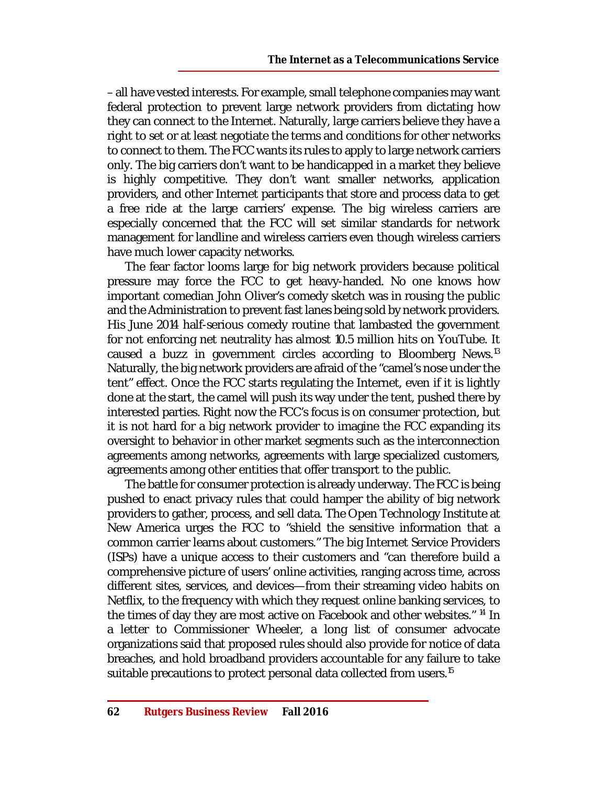– all have vested interests. For example, small telephone companies may want federal protection to prevent large network providers from dictating how they can connect to the Internet. Naturally, large carriers believe they have a right to set or at least negotiate the terms and conditions for other networks to connect to them. The FCC wants its rules to apply to large network carriers only. The big carriers don't want to be handicapped in a market they believe is highly competitive. They don't want smaller networks, application providers, and other Internet participants that store and process data to get a free ride at the large carriers' expense. The big wireless carriers are especially concerned that the FCC will set similar standards for network management for landline and wireless carriers even though wireless carriers have much lower capacity networks.

The fear factor looms large for big network providers because political pressure may force the FCC to get heavy-handed. No one knows how important comedian John Oliver's comedy sketch was in rousing the public and the Administration to prevent fast lanes being sold by network providers. His June 2014 half-serious comedy routine that lambasted the government for not enforcing net neutrality has almost 10.5 million hits on YouTube. It caused a buzz in government circles according to Bloomberg News.<sup>13</sup> Naturally, the big network providers are afraid of the "camel's nose under the tent" effect. Once the FCC starts regulating the Internet, even if it is lightly done at the start, the camel will push its way under the tent, pushed there by interested parties. Right now the FCC's focus is on consumer protection, but it is not hard for a big network provider to imagine the FCC expanding its oversight to behavior in other market segments such as the interconnection agreements among networks, agreements with large specialized customers, agreements among other entities that offer transport to the public.

The battle for consumer protection is already underway. The FCC is being pushed to enact privacy rules that could hamper the ability of big network providers to gather, process, and sell data. The Open Technology Institute at New America urges the FCC to "shield the sensitive information that a common carrier learns about customers." The big Internet Service Providers (ISPs) have a unique access to their customers and "can therefore build a comprehensive picture of users' online activities, ranging across time, across different sites, services, and devices—from their streaming video habits on Netflix, to the frequency with which they request online banking services, to the times of day they are most active on Facebook and other websites." <sup>14</sup> In a letter to Commissioner Wheeler, a long list of consumer advocate organizations said that proposed rules should also provide for notice of data breaches, and hold broadband providers accountable for any failure to take suitable precautions to protect personal data collected from users.<sup>15</sup>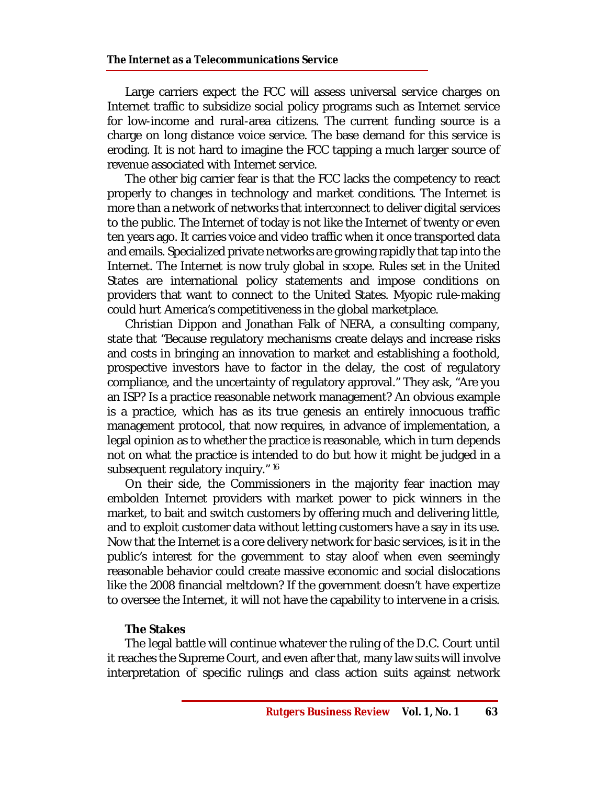Large carriers expect the FCC will assess universal service charges on Internet traffic to subsidize social policy programs such as Internet service for low-income and rural-area citizens. The current funding source is a charge on long distance voice service. The base demand for this service is eroding. It is not hard to imagine the FCC tapping a much larger source of revenue associated with Internet service.

The other big carrier fear is that the FCC lacks the competency to react properly to changes in technology and market conditions. The Internet is more than a network of networks that interconnect to deliver digital services to the public. The Internet of today is not like the Internet of twenty or even ten years ago. It carries voice and video traffic when it once transported data and emails. Specialized private networks are growing rapidly that tap into the Internet. The Internet is now truly global in scope. Rules set in the United States are international policy statements and impose conditions on providers that want to connect to the United States. Myopic rule-making could hurt America's competitiveness in the global marketplace.

Christian Dippon and Jonathan Falk of NERA, a consulting company, state that "Because regulatory mechanisms create delays and increase risks and costs in bringing an innovation to market and establishing a foothold, prospective investors have to factor in the delay, the cost of regulatory compliance, and the uncertainty of regulatory approval." They ask, "Are you an ISP? Is a practice reasonable network management? An obvious example is a practice, which has as its true genesis an entirely innocuous traffic management protocol, that now requires, in advance of implementation, a legal opinion as to whether the practice is reasonable, which in turn depends not on what the practice is intended to do but how it might be judged in a subsequent regulatory inquiry." 16

On their side, the Commissioners in the majority fear inaction may embolden Internet providers with market power to pick winners in the market, to bait and switch customers by offering much and delivering little, and to exploit customer data without letting customers have a say in its use. Now that the Internet is a core delivery network for basic services, is it in the public's interest for the government to stay aloof when even seemingly reasonable behavior could create massive economic and social dislocations like the 2008 financial meltdown? If the government doesn't have expertize to oversee the Internet, it will not have the capability to intervene in a crisis.

#### **The Stakes**

The legal battle will continue whatever the ruling of the D.C. Court until it reaches the Supreme Court, and even after that, many law suits will involve interpretation of specific rulings and class action suits against network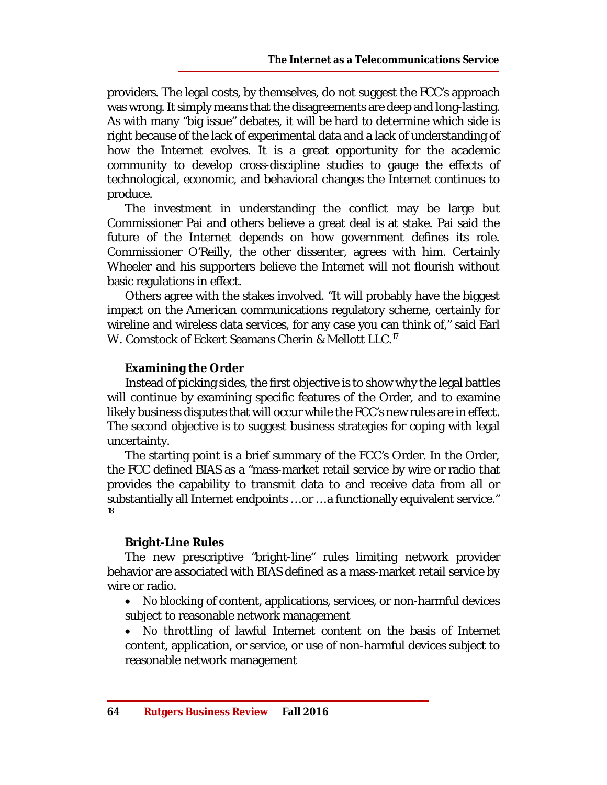providers. The legal costs, by themselves, do not suggest the FCC's approach was wrong. It simply means that the disagreements are deep and long-lasting. As with many "big issue" debates, it will be hard to determine which side is right because of the lack of experimental data and a lack of understanding of how the Internet evolves. It is a great opportunity for the academic community to develop cross-discipline studies to gauge the effects of technological, economic, and behavioral changes the Internet continues to produce.

The investment in understanding the conflict may be large but Commissioner Pai and others believe a great deal is at stake. Pai said the future of the Internet depends on how government defines its role. Commissioner O'Reilly, the other dissenter, agrees with him. Certainly Wheeler and his supporters believe the Internet will not flourish without basic regulations in effect.

Others agree with the stakes involved. "It will probably have the biggest impact on the American communications regulatory scheme, certainly for wireline and wireless data services, for any case you can think of," said Earl W. Comstock of Eckert Seamans Cherin & Mellott LLC.<sup>17</sup>

# **Examining the Order**

Instead of picking sides, the first objective is to show why the legal battles will continue by examining specific features of the Order, and to examine likely business disputes that will occur while the FCC's new rules are in effect. The second objective is to suggest business strategies for coping with legal uncertainty.

The starting point is a brief summary of the FCC's Order. In the Order, the FCC defined BIAS as a "mass-market retail service by wire or radio that provides the capability to transmit data to and receive data from all or substantially all Internet endpoints … or … a functionally equivalent service." 18

#### **Bright-Line Rules**

The new prescriptive "bright-line" rules limiting network provider behavior are associated with BIAS defined as a mass-market retail service by wire or radio.

 *No blocking* of content, applications, services, or non-harmful devices subject to reasonable network management

 *No throttling* of lawful Internet content on the basis of Internet content, application, or service, or use of non-harmful devices subject to reasonable network management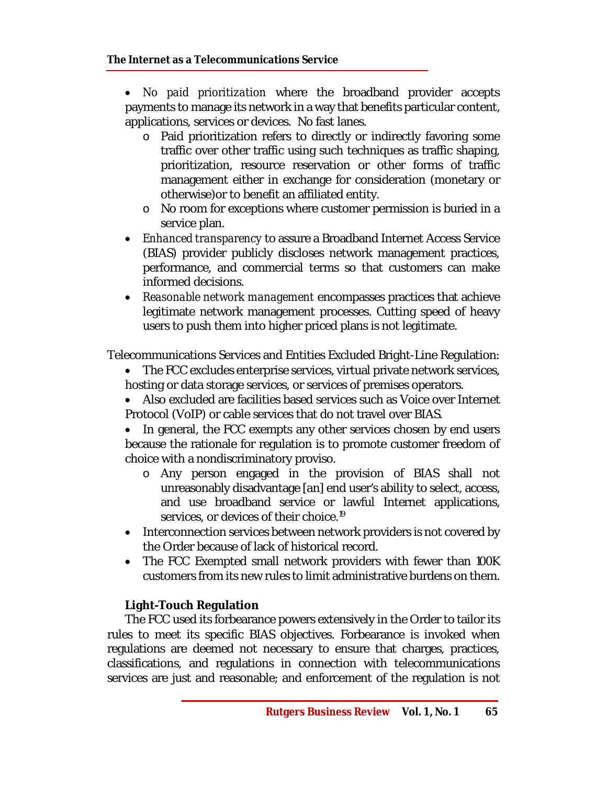*No paid prioritization* where the broadband provider accepts payments to manage its network in a way that benefits particular content, applications, services or devices. No fast lanes.

- o Paid prioritization refers to directly or indirectly favoring some traffic over other traffic using such techniques as traffic shaping, prioritization, resource reservation or other forms of traffic management either in exchange for consideration (monetary or otherwise)or to benefit an affiliated entity.
- o No room for exceptions where customer permission is buried in a service plan.
- *Enhanced transparency* to assure a Broadband Internet Access Service (BIAS) provider publicly discloses network management practices, performance, and commercial terms so that customers can make informed decisions.
- *Reasonable network management* encompasses practices that achieve legitimate network management processes. Cutting speed of heavy users to push them into higher priced plans is not legitimate.

Telecommunications Services and Entities Excluded Bright-Line Regulation:

- The FCC excludes enterprise services, virtual private network services, hosting or data storage services, or services of premises operators.
- Also excluded are facilities based services such as Voice over Internet Protocol (VoIP) or cable services that do not travel over BIAS.
- In general, the FCC exempts any other services chosen by end users because the rationale for regulation is to promote customer freedom of choice with a nondiscriminatory proviso.
	- o Any person engaged in the provision of BIAS shall not unreasonably disadvantage [an] end user's ability to select, access, and use broadband service or lawful Internet applications, services, or devices of their choice. 19
- Interconnection services between network providers is not covered by the Order because of lack of historical record.
- The FCC Exempted small network providers with fewer than 100K customers from its new rules to limit administrative burdens on them.

# **Light-Touch Regulation**

The FCC used its forbearance powers extensively in the Order to tailor its rules to meet its specific BIAS objectives. Forbearance is invoked when regulations are deemed not necessary to ensure that charges, practices, classifications, and regulations in connection with telecommunications services are just and reasonable; and enforcement of the regulation is not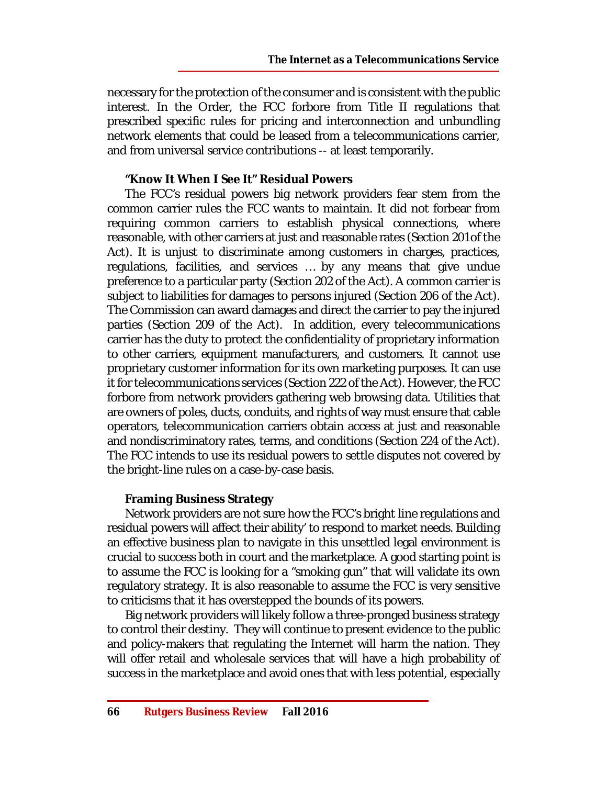necessary for the protection of the consumer and is consistent with the public interest. In the Order, the FCC forbore from Title II regulations that prescribed specific rules for pricing and interconnection and unbundling network elements that could be leased from a telecommunications carrier, and from universal service contributions -- at least temporarily.

## **"Know It When I See It" Residual Powers**

The FCC's residual powers big network providers fear stem from the common carrier rules the FCC wants to maintain. It did not forbear from requiring common carriers to establish physical connections, where reasonable, with other carriers at just and reasonable rates (Section 201 of the Act). It is unjust to discriminate among customers in charges, practices, regulations, facilities, and services … by any means that give undue preference to a particular party (Section 202 of the Act). A common carrier is subject to liabilities for damages to persons injured (Section 206 of the Act). The Commission can award damages and direct the carrier to pay the injured parties (Section 209 of the Act). In addition, every telecommunications carrier has the duty to protect the confidentiality of proprietary information to other carriers, equipment manufacturers, and customers. It cannot use proprietary customer information for its own marketing purposes. It can use it for telecommunications services (Section 222 of the Act). However, the FCC forbore from network providers gathering web browsing data. Utilities that are owners of poles, ducts, conduits, and rights of way must ensure that cable operators, telecommunication carriers obtain access at just and reasonable and nondiscriminatory rates, terms, and conditions (Section 224 of the Act). The FCC intends to use its residual powers to settle disputes not covered by the bright-line rules on a case-by-case basis.

#### **Framing Business Strategy**

Network providers are not sure how the FCC's bright line regulations and residual powers will affect their ability' to respond to market needs. Building an effective business plan to navigate in this unsettled legal environment is crucial to success both in court and the marketplace. A good starting point is to assume the FCC is looking for a "smoking gun" that will validate its own regulatory strategy. It is also reasonable to assume the FCC is very sensitive to criticisms that it has overstepped the bounds of its powers.

Big network providers will likely follow a three-pronged business strategy to control their destiny. They will continue to present evidence to the public and policy-makers that regulating the Internet will harm the nation. They will offer retail and wholesale services that will have a high probability of success in the marketplace and avoid ones that with less potential, especially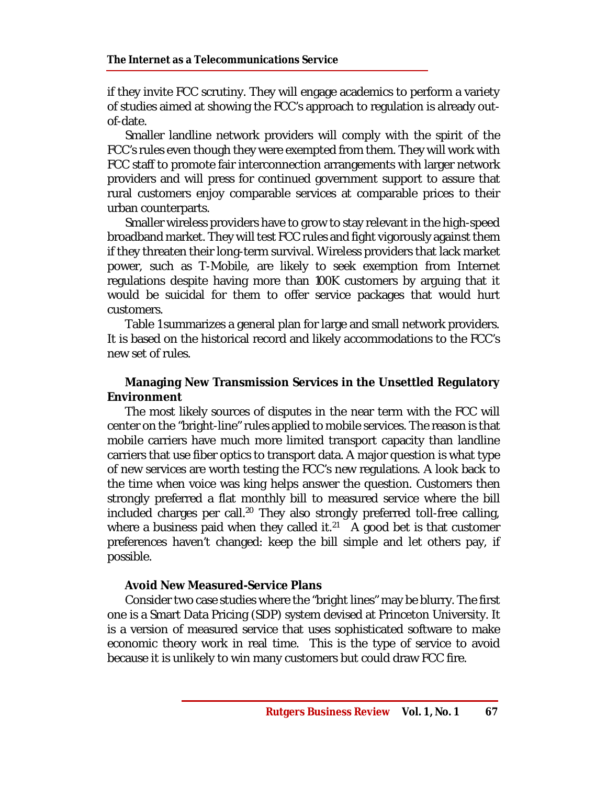if they invite FCC scrutiny. They will engage academics to perform a variety of studies aimed at showing the FCC's approach to regulation is already outof-date.

Smaller landline network providers will comply with the spirit of the FCC's rules even though they were exempted from them. They will work with FCC staff to promote fair interconnection arrangements with larger network providers and will press for continued government support to assure that rural customers enjoy comparable services at comparable prices to their urban counterparts.

Smaller wireless providers have to grow to stay relevant in the high-speed broadband market. They will test FCC rules and fight vigorously against them if they threaten their long-term survival. Wireless providers that lack market power, such as T-Mobile, are likely to seek exemption from Internet regulations despite having more than 100K customers by arguing that it would be suicidal for them to offer service packages that would hurt customers.

Table 1 summarizes a general plan for large and small network providers. It is based on the historical record and likely accommodations to the FCC's new set of rules.

# **Managing New Transmission Services in the Unsettled Regulatory Environment**

The most likely sources of disputes in the near term with the FCC will center on the "bright-line" rules applied to mobile services. The reason is that mobile carriers have much more limited transport capacity than landline carriers that use fiber optics to transport data. A major question is what type of new services are worth testing the FCC's new regulations. A look back to the time when voice was king helps answer the question. Customers then strongly preferred a flat monthly bill to measured service where the bill included charges per call.<sup>20</sup> They also strongly preferred toll-free calling, where a business paid when they called it.<sup>21</sup> A good bet is that customer preferences haven't changed: keep the bill simple and let others pay, if possible.

# **Avoid New Measured-Service Plans**

Consider two case studies where the "bright lines" may be blurry. The first one is a Smart Data Pricing (SDP) system devised at Princeton University. It is a version of measured service that uses sophisticated software to make economic theory work in real time. This is the type of service to avoid because it is unlikely to win many customers but could draw FCC fire.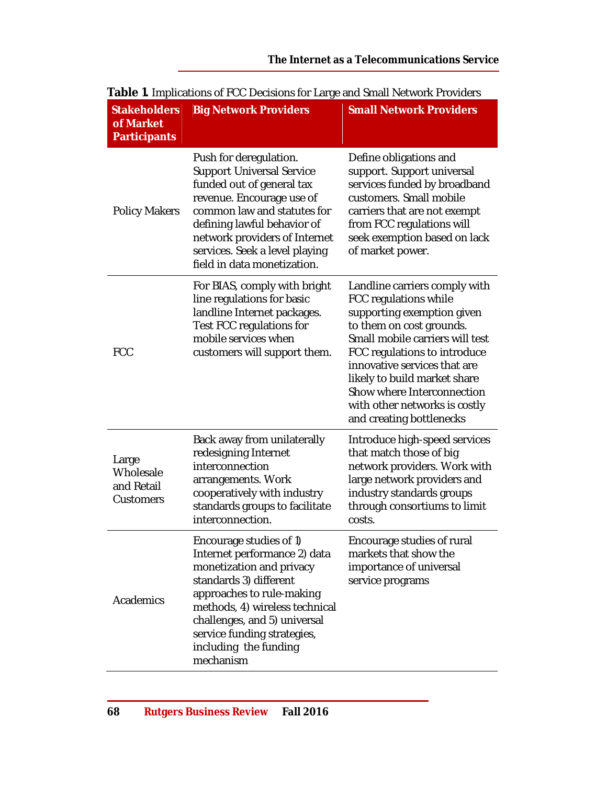| <b>Stakeholders</b><br>of Market<br><b>Participants</b> | <b>Big Network Providers</b>                                                                                                                                                                                                                                                         | <b>Small Network Providers</b>                                                                                                                                                                                                                                                                                                                 |
|---------------------------------------------------------|--------------------------------------------------------------------------------------------------------------------------------------------------------------------------------------------------------------------------------------------------------------------------------------|------------------------------------------------------------------------------------------------------------------------------------------------------------------------------------------------------------------------------------------------------------------------------------------------------------------------------------------------|
| <b>Policy Makers</b>                                    | Push for deregulation.<br><b>Support Universal Service</b><br>funded out of general tax<br>revenue. Encourage use of<br>common law and statutes for<br>defining lawful behavior of<br>network providers of Internet<br>services. Seek a level playing<br>field in data monetization. | Define obligations and<br>support. Support universal<br>services funded by broadband<br>customers. Small mobile<br>carriers that are not exempt<br>from FCC regulations will<br>seek exemption based on lack<br>of market power.                                                                                                               |
| <b>FCC</b>                                              | For BIAS, comply with bright<br>line regulations for basic<br>landline Internet packages.<br>Test FCC regulations for<br>mobile services when<br>customers will support them.                                                                                                        | Landline carriers comply with<br>FCC regulations while<br>supporting exemption given<br>to them on cost grounds.<br>Small mobile carriers will test<br>FCC regulations to introduce<br>innovative services that are<br>likely to build market share<br>Show where Interconnection<br>with other networks is costly<br>and creating bottlenecks |
| Large<br>Wholesale<br>and Retail<br>Customers           | Back away from unilaterally<br>redesigning Internet<br>interconnection<br>arrangements. Work<br>cooperatively with industry<br>standards groups to facilitate<br>interconnection.                                                                                                    | Introduce high-speed services<br>that match those of big<br>network providers. Work with<br>large network providers and<br>industry standards groups<br>through consortiums to limit<br>costs.                                                                                                                                                 |
| Academics                                               | Encourage studies of 1)<br>Internet performance 2) data<br>monetization and privacy<br>standards 3) different<br>approaches to rule-making<br>methods, 4) wireless technical<br>challenges, and 5) universal<br>service funding strategies,<br>including the funding<br>mechanism    | Encourage studies of rural<br>markets that show the<br>importance of universal<br>service programs                                                                                                                                                                                                                                             |

# **Table 1.** Implications of FCC Decisions for Large and Small Network Providers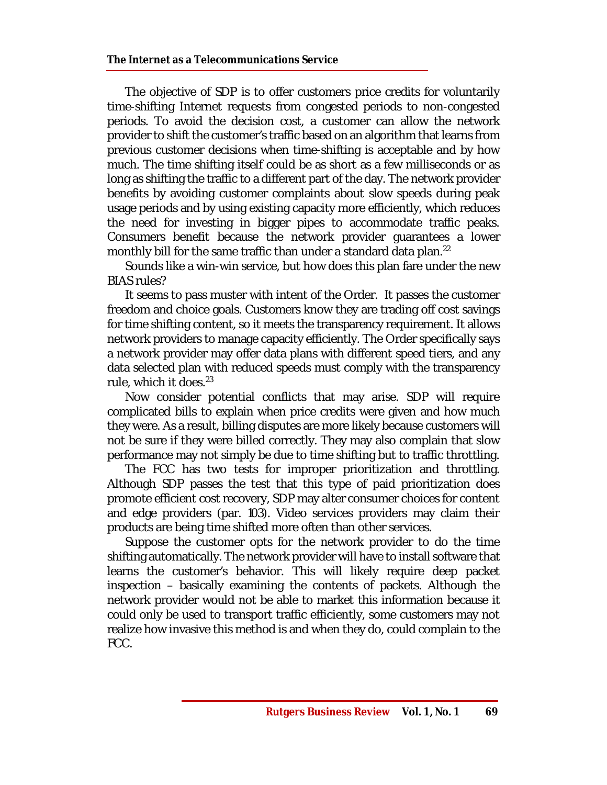The objective of SDP is to offer customers price credits for voluntarily time-shifting Internet requests from congested periods to non-congested periods. To avoid the decision cost, a customer can allow the network provider to shift the customer's traffic based on an algorithm that learns from previous customer decisions when time-shifting is acceptable and by how much. The time shifting itself could be as short as a few milliseconds or as long as shifting the traffic to a different part of the day. The network provider benefits by avoiding customer complaints about slow speeds during peak usage periods and by using existing capacity more efficiently, which reduces the need for investing in bigger pipes to accommodate traffic peaks. Consumers benefit because the network provider guarantees a lower monthly bill for the same traffic than under a standard data plan.<sup>22</sup>

Sounds like a win-win service, but how does this plan fare under the new BIAS rules?

It seems to pass muster with intent of the Order. It passes the customer freedom and choice goals. Customers know they are trading off cost savings for time shifting content, so it meets the transparency requirement. It allows network providers to manage capacity efficiently. The Order specifically says a network provider may offer data plans with different speed tiers, and any data selected plan with reduced speeds must comply with the transparency rule, which it does. $23$ 

Now consider potential conflicts that may arise. SDP will require complicated bills to explain when price credits were given and how much they were. As a result, billing disputes are more likely because customers will not be sure if they were billed correctly. They may also complain that slow performance may not simply be due to time shifting but to traffic throttling.

The FCC has two tests for improper prioritization and throttling. Although SDP passes the test that this type of paid prioritization does promote efficient cost recovery, SDP may alter consumer choices for content and edge providers (par. 103). Video services providers may claim their products are being time shifted more often than other services.

Suppose the customer opts for the network provider to do the time shifting automatically. The network provider will have to install software that learns the customer's behavior. This will likely require deep packet inspection – basically examining the contents of packets. Although the network provider would not be able to market this information because it could only be used to transport traffic efficiently, some customers may not realize how invasive this method is and when they do, could complain to the FCC.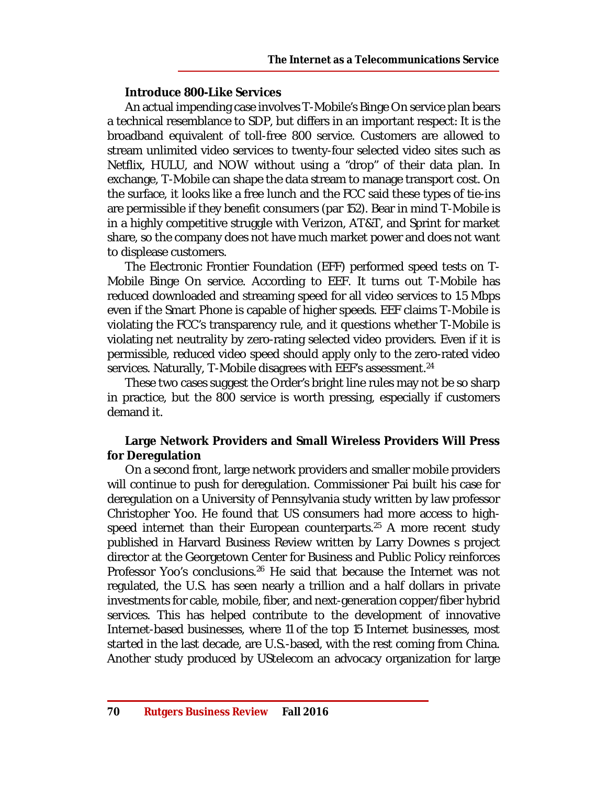# **Introduce 800-Like Services**

An actual impending case involves T-Mobile's Binge On service plan bears a technical resemblance to SDP, but differs in an important respect: It is the broadband equivalent of toll-free 800 service. Customers are allowed to stream unlimited video services to twenty-four selected video sites such as Netflix, HULU, and NOW without using a "drop" of their data plan. In exchange, T-Mobile can shape the data stream to manage transport cost. On the surface, it looks like a free lunch and the FCC said these types of tie-ins are permissible if they benefit consumers (par 152). Bear in mind T-Mobile is in a highly competitive struggle with Verizon, AT&T, and Sprint for market share, so the company does not have much market power and does not want to displease customers.

The Electronic Frontier Foundation (EFF) performed speed tests on T-Mobile Binge On service. According to EEF. It turns out T-Mobile has reduced downloaded and streaming speed for all video services to 1.5 Mbps even if the Smart Phone is capable of higher speeds. EEF claims T-Mobile is violating the FCC's transparency rule, and it questions whether T-Mobile is violating net neutrality by zero-rating selected video providers. Even if it is permissible, reduced video speed should apply only to the zero-rated video services. Naturally, T-Mobile disagrees with EEF's assessment.<sup>24</sup>

These two cases suggest the Order's bright line rules may not be so sharp in practice, but the 800 service is worth pressing, especially if customers demand it.

# **Large Network Providers and Small Wireless Providers Will Press for Deregulation**

On a second front, large network providers and smaller mobile providers will continue to push for deregulation. Commissioner Pai built his case for deregulation on a University of Pennsylvania study written by law professor Christopher Yoo. He found that US consumers had more access to highspeed internet than their European counterparts.<sup>25</sup> A more recent study published in Harvard Business Review written by Larry Downes s project director at the Georgetown Center for Business and Public Policy reinforces Professor Yoo's conclusions.<sup>26</sup> He said that because the Internet was not regulated, the U.S. has seen nearly a trillion and a half dollars in private investments for cable, mobile, fiber, and next-generation copper/fiber hybrid services. This has helped contribute to the development of innovative Internet-based businesses, where 11 of the top 15 Internet businesses, most started in the last decade, are U.S.-based, with the rest coming from China. Another study produced by UStelecom an advocacy organization for large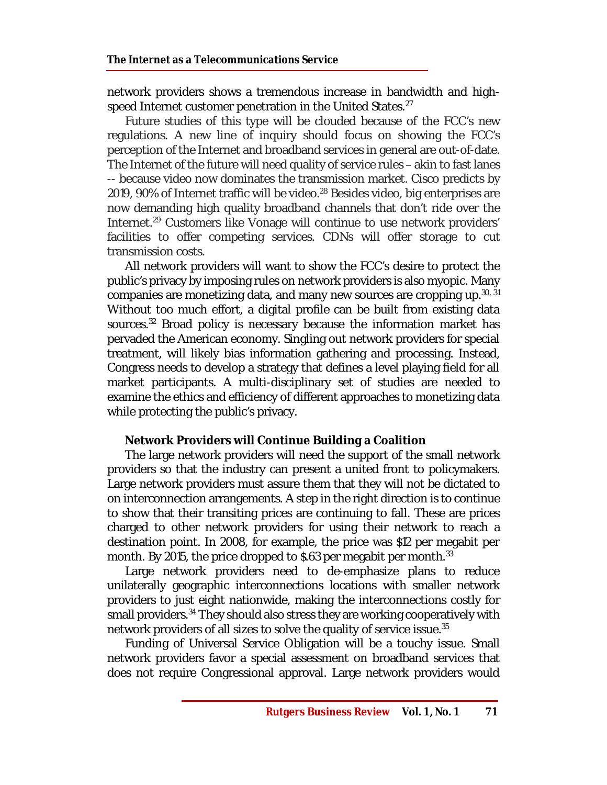network providers shows a tremendous increase in bandwidth and highspeed Internet customer penetration in the United States.<sup>27</sup>

Future studies of this type will be clouded because of the FCC's new regulations. A new line of inquiry should focus on showing the FCC's perception of the Internet and broadband services in general are out-of-date. The Internet of the future will need quality of service rules – akin to fast lanes -- because video now dominates the transmission market. Cisco predicts by 2019, 90% of Internet traffic will be video.<sup>28</sup> Besides video, big enterprises are now demanding high quality broadband channels that don't ride over the Internet.<sup>29</sup> Customers like Vonage will continue to use network providers' facilities to offer competing services. CDNs will offer storage to cut transmission costs.

All network providers will want to show the FCC's desire to protect the public's privacy by imposing rules on network providers is also myopic. Many companies are monetizing data, and many new sources are cropping up. 30, 31 Without too much effort, a digital profile can be built from existing data sources.<sup>32</sup> Broad policy is necessary because the information market has pervaded the American economy. Singling out network providers for special treatment, will likely bias information gathering and processing. Instead, Congress needs to develop a strategy that defines a level playing field for all market participants. A multi-disciplinary set of studies are needed to examine the ethics and efficiency of different approaches to monetizing data while protecting the public's privacy.

#### **Network Providers will Continue Building a Coalition**

The large network providers will need the support of the small network providers so that the industry can present a united front to policymakers. Large network providers must assure them that they will not be dictated to on interconnection arrangements. A step in the right direction is to continue to show that their transiting prices are continuing to fall. These are prices charged to other network providers for using their network to reach a destination point. In 2008, for example, the price was \$12 per megabit per month. By 2015, the price dropped to \$.63 per megabit per month. $33$ 

Large network providers need to de-emphasize plans to reduce unilaterally geographic interconnections locations with smaller network providers to just eight nationwide, making the interconnections costly for small providers.<sup>34</sup> They should also stress they are working cooperatively with network providers of all sizes to solve the quality of service issue.<sup>35</sup>

Funding of Universal Service Obligation will be a touchy issue. Small network providers favor a special assessment on broadband services that does not require Congressional approval. Large network providers would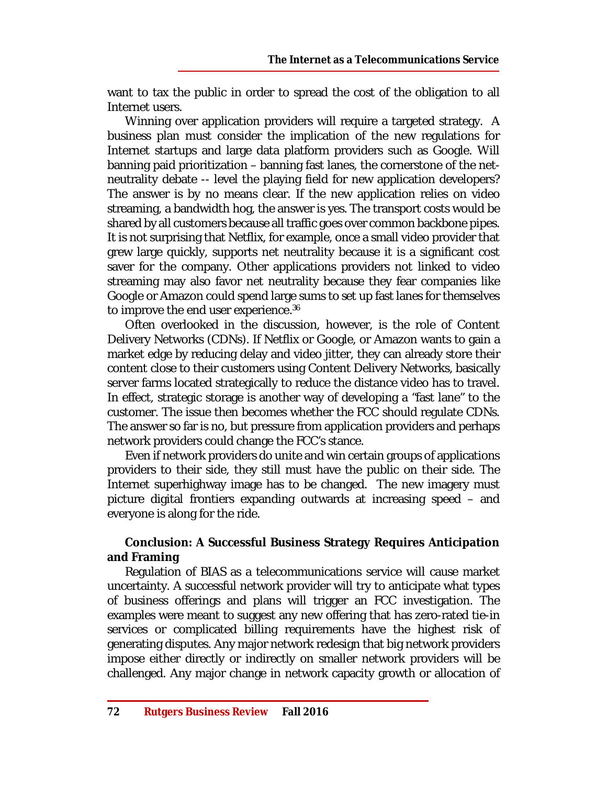want to tax the public in order to spread the cost of the obligation to all Internet users.

Winning over application providers will require a targeted strategy. A business plan must consider the implication of the new regulations for Internet startups and large data platform providers such as Google. Will banning paid prioritization – banning fast lanes, the cornerstone of the netneutrality debate -- level the playing field for new application developers? The answer is by no means clear. If the new application relies on video streaming, a bandwidth hog, the answer is yes. The transport costs would be shared by all customers because all traffic goes over common backbone pipes. It is not surprising that Netflix, for example, once a small video provider that grew large quickly, supports net neutrality because it is a significant cost saver for the company. Other applications providers not linked to video streaming may also favor net neutrality because they fear companies like Google or Amazon could spend large sums to set up fast lanes for themselves to improve the end user experience. 36

Often overlooked in the discussion, however, is the role of Content Delivery Networks (CDNs). If Netflix or Google, or Amazon wants to gain a market edge by reducing delay and video jitter, they can already store their content close to their customers using Content Delivery Networks, basically server farms located strategically to reduce the distance video has to travel. In effect, strategic storage is another way of developing a "fast lane" to the customer. The issue then becomes whether the FCC should regulate CDNs. The answer so far is no, but pressure from application providers and perhaps network providers could change the FCC's stance.

Even if network providers do unite and win certain groups of applications providers to their side, they still must have the public on their side. The Internet superhighway image has to be changed. The new imagery must picture digital frontiers expanding outwards at increasing speed – and everyone is along for the ride.

# **Conclusion: A Successful Business Strategy Requires Anticipation and Framing**

Regulation of BIAS as a telecommunications service will cause market uncertainty. A successful network provider will try to anticipate what types of business offerings and plans will trigger an FCC investigation. The examples were meant to suggest any new offering that has zero-rated tie-in services or complicated billing requirements have the highest risk of generating disputes. Any major network redesign that big network providers impose either directly or indirectly on smaller network providers will be challenged. Any major change in network capacity growth or allocation of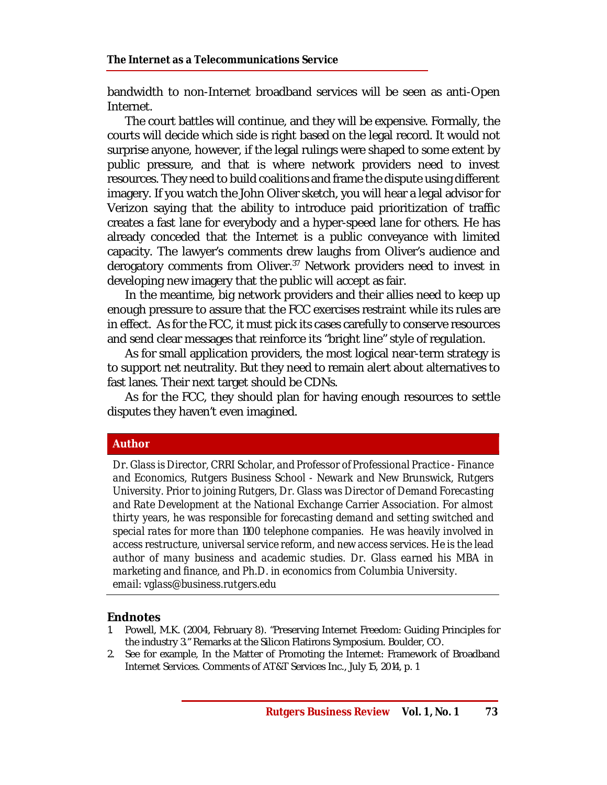bandwidth to non-Internet broadband services will be seen as anti-Open Internet.

The court battles will continue, and they will be expensive. Formally, the courts will decide which side is right based on the legal record. It would not surprise anyone, however, if the legal rulings were shaped to some extent by public pressure, and that is where network providers need to invest resources. They need to build coalitions and frame the dispute using different imagery. If you watch the John Oliver sketch, you will hear a legal advisor for Verizon saying that the ability to introduce paid prioritization of traffic creates a fast lane for everybody and a hyper-speed lane for others. He has already conceded that the Internet is a public conveyance with limited capacity. The lawyer's comments drew laughs from Oliver's audience and derogatory comments from Oliver.<sup>37</sup> Network providers need to invest in developing new imagery that the public will accept as fair.

In the meantime, big network providers and their allies need to keep up enough pressure to assure that the FCC exercises restraint while its rules are in effect. As for the FCC, it must pick its cases carefully to conserve resources and send clear messages that reinforce its "bright line" style of regulation.

As for small application providers, the most logical near-term strategy is to support net neutrality. But they need to remain alert about alternatives to fast lanes. Their next target should be CDNs.

As for the FCC, they should plan for having enough resources to settle disputes they haven't even imagined.

#### **Author**

*Dr. Glass is Director, CRRI Scholar, and Professor of Professional Practice - Finance and Economics, Rutgers Business School - Newark and New Brunswick, Rutgers University. Prior to joining Rutgers, Dr. Glass was Director of Demand Forecasting and Rate Development at the National Exchange Carrier Association. For almost thirty years, he was responsible for forecasting demand and setting switched and special rates for more than 1100 telephone companies. He was heavily involved in access restructure, universal service reform, and new access services. He is the lead author of many business and academic studies. Dr. Glass earned his MBA in marketing and finance, and Ph.D. in economics from Columbia University. email: [vglass@business.rutgers.edu](mailto:vglass@business.rutgers.edu)*

#### **Endnotes**

- 1. Powell, M.K. (2004, February 8). "Preserving Internet Freedom: Guiding Principles for the industry 3." Remarks at the Silicon Flatirons Symposium. Boulder, CO.
- 2. See for example, In the Matter of Promoting the Internet: Framework of Broadband Internet Services. Comments of AT&T Services Inc., July 15, 2014, p. 1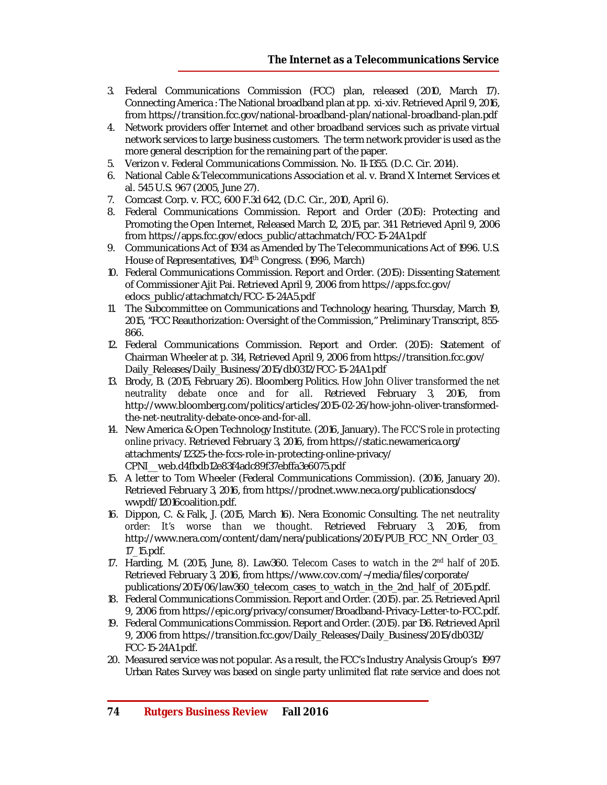- 3. Federal Communications Commission (FCC) plan, released (2010, March 17). Connecting America : The National broadband plan at pp. xi-xiv. Retrieved April 9, 2016, from <https://transition.fcc.gov/national-broadband-plan/national-broadband-plan.pdf>
- 4. Network providers offer Internet and other broadband services such as private virtual network services to large business customers. The term network provider is used as the more general description for the remaining part of the paper.
- 5. Verizon v. Federal Communications Commission. No. 11-1355. (D.C. Cir. 2014).
- 6. National Cable & Telecommunications Association et al. v. Brand X Internet Services et al. 545 U.S. 967 (2005, June 27).
- 7. Comcast Corp. v. FCC, 600 F.3d 642, (D.C. Cir., 2010, April 6).
- 8. Federal Communications Commission. Report and Order (2015): Protecting and Promoting the Open Internet, Released March 12, 2015, par. 341. Retrieved April 9, 2006 from [https://apps.fcc.gov/edocs\\_public/attachmatch/FCC-15-24A1.pdf](https://apps.fcc.gov/edocs_public/attachmatch/FCC-15-24A1.pdf)
- 9. Communications Act of 1934 as Amended by The Telecommunications Act of 1996. U.S. House of Representatives, 104<sup>th</sup> Congress. (1996, March)
- 10. Federal Communications Commission. Report and Order. (2015): Dissenting Statement of Commissioner Ajit Pai. Retrieved April 9, 2006 from <https://apps.fcc.gov/> edocs\_public/attachmatch/FCC-15-24A5.pdf
- 11. The Subcommittee on Communications and Technology hearing, Thursday, March 19, 2015, "FCC Reauthorization: Oversight of the Commission," Preliminary Transcript, 855- 866.
- 12. Federal Communications Commission. Report and Order. (2015): Statement of Chairman Wheeler at p. 314, Retrieved April 9, 2006 from <https://transition.fcc.gov/> Daily\_Releases/Daily\_Business/2015/db0312/FCC-15-24A1.pdf
- 13. Brody, B. (2015, February 26). Bloomberg Politics. *How John Oliver transformed the net neutrality debate once and for all*. Retrieved February 3, 2016, from [http://www.bloomberg.com/politics/articles/2015-02-26/how-john-oliver-transformed](http://www.bloomberg.com/politics/articles/2015-02-26/how-john-oliver-transformed-)the-net-neutrality-debate-once-and-for-all.
- 14. New America & Open Technology Institute. (2016, January). *The FCC'S role in protecting online privacy.* Retrieved February 3, 2016, from <https://static.newamerica.org/> attachments/12325-the-fccs-role-in-protecting-online-privacy/ CPNI\_\_web.d4fbdb12e83f4adc89f37ebffa3e6075.pdf
- 15. A letter to Tom Wheeler (Federal Communications Commission). (2016, January 20). Retrieved February 3, 2016, from<https://prodnet.www.neca.org/publicationsdocs/> wwpdf/12016coalition.pdf.
- 16. Dippon, C. & Falk, J. (2015, March 16). Nera Economic Consulting. *The net neutrality order: It's worse than we thought.* Retrieved February 3, 2016, from [http://www.nera.com/content/dam/nera/publications/2015/PUB\\_FCC\\_NN\\_Order\\_03\\_](http://www.nera.com/content/dam/nera/publications/2015/PUB_FCC_NN_Order_03_) 17\_15.pdf.
- 17. Harding, M. (2015, June, 8). Law360. *Telecom Cases to watch in the 2nd half of 2015.* Retrieved February 3, 2016, from<https://www.cov.com/~/media/files/corporate/> publications/2015/06/law360\_telecom\_cases\_to\_watch\_in\_the\_2nd\_half\_of\_2015.pdf.
- 18. Federal Communications Commission. Report and Order. (2015). par. 25. Retrieved April 9, 2006 from <https://epic.org/privacy/consumer/Broadband-Privacy-Letter-to-FCC.pdf.>
- 19. Federal Communications Commission. Report and Order. (2015). par 136. Retrieved April 9, 2006 from [https://transition.fcc.gov/Daily\\_Releases/Daily\\_Business/2015/db0312/](https://transition.fcc.gov/Daily_Releases/Daily_Business/2015/db0312/) FCC-15-24A1.pdf.
- 20. Measured service was not popular. As a result, the FCC's Industry Analysis Group's 1997 Urban Rates Survey was based on single party unlimited flat rate service and does not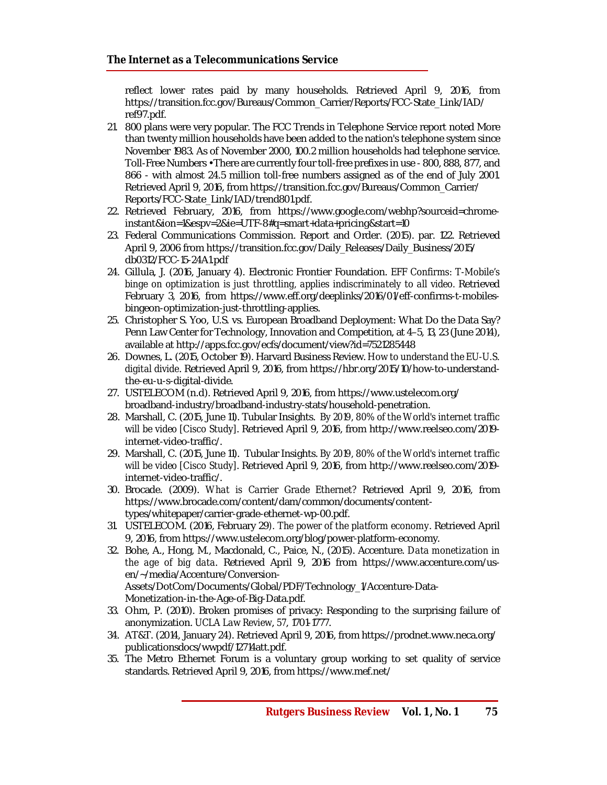reflect lower rates paid by many households. Retrieved April 9, 2016, from [https://transition.fcc.gov/Bureaus/Common\\_Carrier/Reports/FCC-State\\_Link/IAD/](https://transition.fcc.gov/Bureaus/Common_Carrier/Reports/FCC-State_Link/IAD/) ref97.pdf.

- 21. 800 plans were very popular. The FCC Trends in Telephone Service report noted More than twenty million households have been added to the nation's telephone system since November 1983. As of November 2000, 100.2 million households had telephone service. Toll-Free Numbers • There are currently four toll-free prefixes in use - 800, 888, 877, and 866 - with almost 24.5 million toll-free numbers assigned as of the end of July 2001. Retrieved April 9, 2016, from [https://transition.fcc.gov/Bureaus/Common\\_Carrier/](https://transition.fcc.gov/Bureaus/Common_Carrier/) Reports/FCC-State\_Link/IAD/trend801.pdf.
- 22. Retrieved February, 2016, from [https://www.google.com/webhp?sourceid=chrome](https://www.google.com/webhp?sourceid=chrome-)instant&ion=1&espv=2&ie=UTF-8#q=smart+data+pricing&start=10
- 23. Federal Communications Commission. Report and Order. (2015). par. 122. Retrieved April 9, 2006 from [https://transition.fcc.gov/Daily\\_Releases/Daily\\_Business/2015/](https://transition.fcc.gov/Daily_Releases/Daily_Business/2015/) db0312/FCC-15-24A1.pdf
- 24. Gillula, J. (2016, January 4). Electronic Frontier Foundation. *EFF Confirms: T-Mobile's binge on optimization is just throttling, applies indiscriminately to all video.* Retrieved February 3, 2016, from [https://www.eff.org/deeplinks/2016/01/eff-confirms-t-mobiles](https://www.eff.org/deeplinks/2016/01/eff-confirms-t-mobiles-)bingeon-optimization-just-throttling-applies.
- 25. Christopher S. Yoo, U.S. vs. European Broadband Deployment: What Do the Data Say? Penn Law Center for Technology, Innovation and Competition, at 4–5, 13, 23 (June 2014), available at <http://apps.fcc.gov/ecfs/document/view?id=7521285448>
- 26. Downes, L. (2015, October 19). Harvard Business Review. *How to understand the EU-U.S. digital divide*. Retrieved April 9, 2016, from [https://hbr.org/2015/10/how-to-understand](https://hbr.org/2015/10/how-to-understand-)the-eu-u-s-digital-divide.
- 27. USTELECOM (n.d). Retrieved April 9, 2016, from <https://www.ustelecom.org/> broadband-industry/broadband-industry-stats/household-penetration.
- 28. Marshall, C. (2015, June 11). Tubular Insights. *By 2019, 80% of the World's internet traffic will be video [Cisco Study]*. Retrieved April 9, 2016, from [http://www.reelseo.com/2019](http://www.reelseo.com/2019-) internet-video-traffic/.
- 29. Marshall, C. (2015, June 11). Tubular Insights. *By 2019, 80% of the World's internet traffic will be video [Cisco Study]*. Retrieved April 9, 2016, from [http://www.reelseo.com/2019](http://www.reelseo.com/2019-) internet-video-traffic/.
- 30. Brocade. (2009). *What is Carrier Grade Ethernet?* Retrieved April 9, 2016, from [https://www.brocade.com/content/dam/common/documents/content](https://www.brocade.com/content/dam/common/documents/content-)types/whitepaper/carrier-grade-ethernet-wp-00.pdf.
- 31. USTELECOM. (2016, February 29*). The power of the platform economy*. Retrieved April 9, 2016, from <https://www.ustelecom.org/blog/power-platform-economy.>
- 32. Bohe, A., Hong, M., Macdonald, C., Paice, N., (2015). Accenture. *Data monetization in the age of big data*. Retrieved April 9, 2016 from [https://www.accenture.com/us](https://www.accenture.com/us-)en/~/media/Accenture/Conversion-Assets/DotCom/Documents/Global/PDF/Technology\_1/Accenture-Data-Monetization-in-the-Age-of-Big-Data.pdf.
- 33. Ohm, P. (2010). Broken promises of privacy: Responding to the surprising failure of anonymization. *UCLA Law Review*, *57*, 1701-1777.
- 34. AT&T. (2014, January 24). Retrieved April 9, 2016, from <https://prodnet.www.neca.org/> publicationsdocs/wwpdf/12714att.pdf.
- 35. The Metro Ethernet Forum is a voluntary group working to set quality of service standards. Retrieved April 9, 2016, from <https://www.mef.net/>